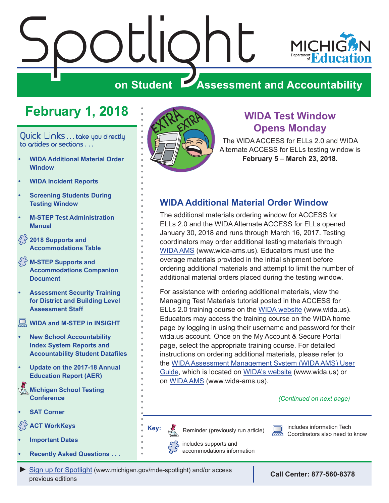# <span id="page-0-0"></span>Spotlight **MICHK on Student Assessment and Accountability**

# **February 1, 2018**

Quick Links . . . take you directly to articles or sections . . .

- **• WIDA Additional Material Order Window**
- **• [WIDA Incident Reports](#page-1-0)**
- **• [Screening Students During](#page-1-0)  [Testing Window](#page-1-0)**
- **• [M-STEP Test Administration](#page-1-0)  [Manual](#page-1-0)**
- **[2018 Supports and](#page-1-0)  [Accommodations Table](#page-1-0)**
- **[M-STEP Supports and](#page-1-0)  [Accommodations Companion](#page-1-0)  [Document](#page-1-0)**
- **• [Assessment Security Training](#page-2-0)  [for District and Building Level](#page-2-0)  [Assessment Staff](#page-2-0)**
- **[WIDA and M-STEP in INSIGHT](#page-2-0)**
- **• [New School Accountability](#page-3-0)  [Index System Reports and](#page-3-0)  [Accountability Student Datafiles](#page-3-0)**
- **• [Update on the 2017-18 Annual](#page-4-0)  [Education Report \(AER\)](#page-4-0)**
- **Michigan School Testing [Conference](#page-4-0)**
- **• [SAT Corner](#page-5-0)**
- **[ACT WorkKeys](#page-7-0)**
- **• [Important Dates](#page-9-0)**
- **• [Recently Asked Questions . . .](#page-10-0)**



# **WIDA Test Window Opens Monday**

The WIDA ACCESS for ELLs 2.0 and WIDA Alternate ACCESS for ELLs testing window is **February 5** – **March 23, 2018**.

### **WIDA Additional Material Order Window**

The additional materials ordering window for ACCESS for ELLs 2.0 and the WIDA Alternate ACCESS for ELLs opened January 30, 2018 and runs through March 16, 2017. Testing coordinators may order additional testing materials through [WIDA AMS](https://www.drcedirect.com/all/eca-portal-ui/welcome/WIDA) (www.wida-ams.us). Educators must use the overage materials provided in the initial shipment before ordering additional materials and attempt to limit the number of additional material orders placed during the testing window.

For assistance with ordering additional materials, view the Managing Test Materials tutorial posted in the ACCESS for ELLs 2.0 training course on the [WIDA website](https://www.wida.us/) (www.wida.us). Educators may access the training course on the WIDA home page by logging in using their username and password for their wida.us account. Once on the My Account & Secure Portal page, select the appropriate training course. For detailed instructions on ordering additional materials, please refer to the [WIDA Assessment Management System \(WIDA AMS\) User](https://www.wida.us/assessment/AMS/WIDA_AMS_User_Guide_2017.pdf) [Guide](https://www.wida.us/assessment/AMS/WIDA_AMS_User_Guide_2017.pdf), which is located on [WIDA's website](www.wida.us) ([www.wida.us\)](www.wida.us) or on [WIDA AMS](https://www.wida-ams.us/) [\(www.wida-ams.us](http://www.wida-ams.us)).

#### *(Continued on next page)*

**Key:** Reminders

Reminder (previously run article)

includes information Tech Coordinators also need to know

includes supports and accommodations information

#### *►* [Sign up for Spotlight](https://public.govdelivery.com/accounts/MIMDE/subscriber/new) [\(www.michigan.gov/mde](www.michigan.gov/mde-spotlight)-spotlight) and/or access previous editions

**Call Center: 877-560-8378**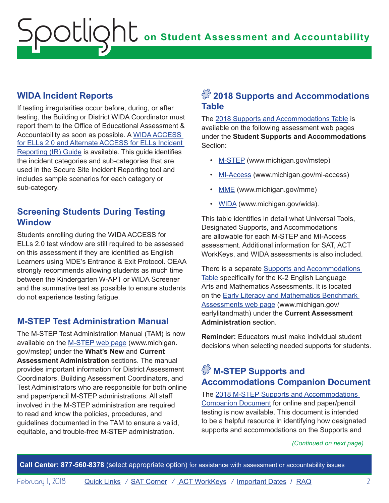### <span id="page-1-0"></span>**WIDA Incident Reports**

If testing irregularities occur before, during, or after testing, the Building or District WIDA Coordinator must report them to the Office of Educational Assessment & Accountability as soon as possible. A [WIDA ACCESS](https://www.michigan.gov/documents/mde/Incident_Reporting_520328_7.pdf)  [for ELLs 2.0 and Alternate ACCESS for ELLs Incident](https://www.michigan.gov/documents/mde/Incident_Reporting_520328_7.pdf)  [Reporting \(IR\) Guide](https://www.michigan.gov/documents/mde/Incident_Reporting_520328_7.pdf) is available. This guide identifies the incident categories and sub-categories that are used in the Secure Site Incident Reporting tool and includes sample scenarios for each category or sub-category.

### **Screening Students During Testing Window**

Students enrolling during the WIDA ACCESS for ELLs 2.0 test window are still required to be assessed on this assessment if they are identified as English Learners using MDE's Entrance & Exit Protocol. OEAA strongly recommends allowing students as much time between the Kindergarten W-APT or WIDA Screener and the summative test as possible to ensure students do not experience testing fatigue.

# **M-STEP Test Administration Manual**

The M-STEP Test Administration Manual (TAM) is now available on the [M-STEP web page](www.michigan.gov/mstep) ([www.michigan.](www.michigan.gov/mstep) [gov/mstep\)](www.michigan.gov/mstep) under the **What's New** and **Current Assessment Administration** sections. The manual provides important information for District Assessment Coordinators, Building Assessment Coordinators, and Test Administrators who are responsible for both online and paper/pencil M-STEP administrations. All staff involved in the M-STEP administration are required to read and know the policies, procedures, and guidelines documented in the TAM to ensure a valid, equitable, and trouble-free M-STEP administration.

# $\sqrt[S]{2018}$  Supports and Accommodations **Table**

The [2018 Supports and Accommodations Table](http://www.michigan.gov/documents/mde/M-STEP_Supports_and__Accommodations_Table_477120_7.pdf) is available on the following assessment web pages under the **Student Supports and Accommodations** Section:

- [M-STEP \(www.michigan.gov/mstep](www.michigan.gov/mstep))
- [MI-Access \(www.michigan.gov/mi-access\)](http://www.michigan.gov/mi-access)
- [MME](www.michigan.gov/mme) (<www.michigan.gov/mme>)
- [WIDA](www.wida.us) [\(www.michigan.gov/wida\)](www.michigan.gov/wida).

This table identifies in detail what Universal Tools, Designated Supports, and Accommodations are allowable for each M-STEP and MI-Access assessment. Additional information for SAT, ACT WorkKeys, and WIDA assessments is also included.

There is a separate [Supports and Accommodations](http://www.michigan.gov/documents/mde/K-2_Early_Literacy__Math_Accom_Table_532245_7.pdf)  [Table](http://www.michigan.gov/documents/mde/K-2_Early_Literacy__Math_Accom_Table_532245_7.pdf) specifically for the K-2 English Language Arts and Mathematics Assessments. It is located on the [Early Literacy and Mathematics Benchmark](www.michigan.gov/earlylitandmath)  [Assessments web page](www.michigan.gov/earlylitandmath) [\(www.michigan.gov/](www.michigan.gov/earlylitandmath)  [earlylitandmath\)](www.michigan.gov/earlylitandmath) under the **Current Assessment Administration** section.

**Reminder:** Educators must make individual student decisions when selecting needed supports for students.

# $\mathbb{S}^3$  M-STEP Supports and **Accommodations Companion Document**

The [2018 M-STEP Supports and Accommodations](http://www.michigan.gov/documents/mde/Supports_and_Accommodations_Companion_485850_7.pdf)  [Companion Document](http://www.michigan.gov/documents/mde/Supports_and_Accommodations_Companion_485850_7.pdf) for online and paper/pencil testing is now available. This document is intended to be a helpful resource in identifying how designated supports and accommodations on the Supports and

*(Continued on next page)*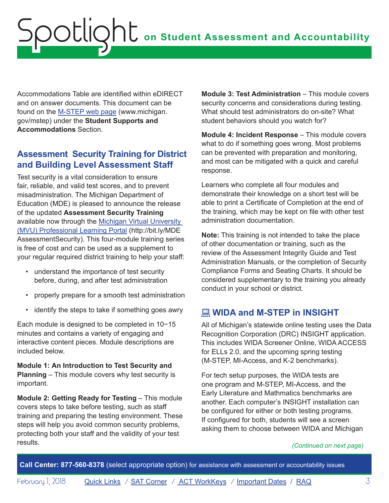<span id="page-2-0"></span>Accommodations Table are identified within eDIRECT and on answer documents. This document can be found on the [M-STEP web page](www.michigan.gov/mstep) [\(www.michigan.](www.michigan.gov/mstep) [gov/mstep\)](www.michigan.gov/mstep) under the **Student Supports and Accommodations** Section.

### **Assessment Security Training for District and Building Level Assessment Staff**

Test security is a vital consideration to ensure fair, reliable, and valid test scores, and to prevent misadministration. The Michigan Department of Education (MDE) is pleased to announce the release of the updated **Assessment Security Training** available now through the [Michigan Virtual University](http://bit.ly/MDEAssessmentSecurity)  [\(MVU\) Professional Learning Portal](http://bit.ly/MDEAssessmentSecurity) ([http://bit.ly/MDE](http://bit.ly/MDEAssessmentSecurity)  [AssessmentSecurity\)](http://bit.ly/MDEAssessmentSecurity). This four-module training series is free of cost and can be used as a supplement to your regular required district training to help your staff:

- understand the importance of test security before, during, and after test administration
- properly prepare for a smooth test administration
- identify the steps to take if something goes awry

Each module is designed to be completed in 10−15 minutes and contains a variety of engaging and interactive content pieces. Module descriptions are included below.

**Module 1: An Introduction to Test Security and Planning** – This module covers why test security is important.

**Module 2: Getting Ready for Testing** – This module covers steps to take before testing, such as staff training and preparing the testing environment. These steps will help you avoid common security problems, protecting both your staff and the validity of your test results.

**Module 3: Test Administration** – This module covers security concerns and considerations during testing. What should test administrators do on-site? What student behaviors should you watch for?

**Module 4: Incident Response** – This module covers what to do if something goes wrong. Most problems can be prevented with preparation and monitoring, and most can be mitigated with a quick and careful response.

Learners who complete all four modules and demonstrate their knowledge on a short test will be able to print a Certificate of Completion at the end of the training, which may be kept on file with other test administration documentation.

**Note:** This training is not intended to take the place of other documentation or training, such as the review of the Assessment Integrity Guide and Test Administration Manuals, or the completion of Security Compliance Forms and Seating Charts. It should be considered supplementary to the training you already conduct in your school or district.

# **WIDA and M-STEP in INSIGHT**

All of Michigan's statewide online testing uses the Data Recognition Corporation (DRC) INSIGHT application. This includes WIDA Screener Online, WIDA ACCESS for ELLs 2.0, and the upcoming spring testing (M-STEP, MI-Access, and K-2 benchmarks).

For tech setup purposes, the WIDA tests are one program and M-STEP, MI-Access, and the Early Literature and Mathmatics benchmarks are another. Each computer's INSIGHT installation can be configured for either or both testing programs. If configured for both, students will see a screen asking them to choose between WIDA and Michigan

#### *(Continued on next page)*

**Call Center: 877-560-8378** (select appropriate option) for assistance with assessment or accountability issues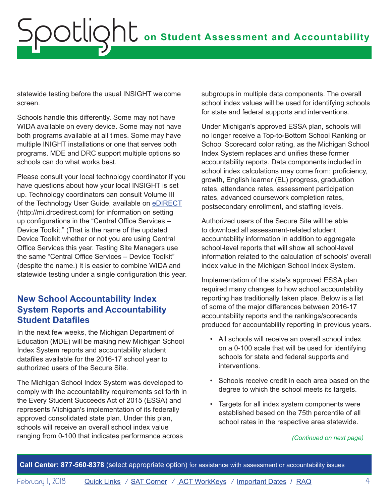<span id="page-3-0"></span>statewide testing before the usual INSIGHT welcome screen.

Schools handle this differently. Some may not have WIDA available on every device. Some may not have both programs available at all times. Some may have multiple INIGHT installations or one that serves both programs. MDE and DRC support multiple options so schools can do what works best.

Please consult your local technology coordinator if you have questions about how your local INSIGHT is set up. Technology coordinators can consult Volume III of the Technology User Guide, available on [eDIRECT](https://www.drcedirect.com/all/eca-portal-ui/welcome/MI) (http://mi.drcedirect.com) for information on setting up configurations in the "Central Office Services – Device Toolkit." (That is the name of the updated Device Toolkit whether or not you are using Central Office Services this year. Testing Site Managers use the same "Central Office Services – Device Toolkit" (despite the name.) It is easier to combine WIDA and statewide testing under a single configuration this year.

### **New School Accountability Index System Reports and Accountability Student Datafiles**

In the next few weeks, the Michigan Department of Education (MDE) will be making new Michigan School Index System reports and accountability student datafiles available for the 2016-17 school year to authorized users of the Secure Site.

The Michigan School Index System was developed to comply with the accountability requirements set forth in the Every Student Succeeds Act of 2015 (ESSA) and represents Michigan's implementation of its federally approved consolidated state plan. Under this plan, schools will receive an overall school index value ranging from 0-100 that indicates performance across

subgroups in multiple data components. The overall school index values will be used for identifying schools for state and federal supports and interventions.

Under Michigan's approved ESSA plan, schools will no longer receive a Top-to-Bottom School Ranking or School Scorecard color rating, as the Michigan School Index System replaces and unifies these former accountability reports. Data components included in school index calculations may come from: proficiency, growth, English learner (EL) progress, graduation rates, attendance rates, assessment participation rates, advanced coursework completion rates, postsecondary enrollment, and staffing levels.

Authorized users of the Secure Site will be able to download all assessment-related student accountability information in addition to aggregate school-level reports that will show all school-level information related to the calculation of schools' overall index value in the Michigan School Index System.

Implementation of the state's approved ESSA plan required many changes to how school accountability reporting has traditionally taken place. Below is a list of some of the major differences between 2016-17 accountability reports and the rankings/scorecards produced for accountability reporting in previous years.

- All schools will receive an overall school index on a 0-100 scale that will be used for identifying schools for state and federal supports and interventions.
- Schools receive credit in each area based on the degree to which the school meets its targets.
- Targets for all index system components were established based on the 75th percentile of all school rates in the respective area statewide.

#### *(Continued on next page)*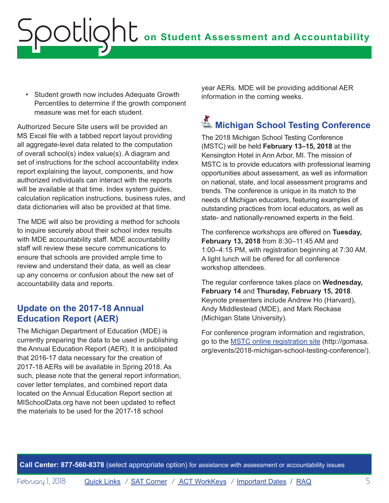<span id="page-4-0"></span>• Student growth now includes Adequate Growth Percentiles to determine if the growth component measure was met for each student.

Authorized Secure Site users will be provided an MS Excel file with a tabbed report layout providing all aggregate-level data related to the computation of overall school(s) index value(s). A diagram and set of instructions for the school accountability index report explaining the layout, components, and how authorized individuals can interact with the reports will be available at that time. Index system quides, calculation replication instructions, business rules, and data dictionaries will also be provided at that time.

The MDE will also be providing a method for schools to inquire securely about their school index results with MDE accountability staff. MDE accountability staff will review these secure communications to ensure that schools are provided ample time to review and understand their data, as well as clear up any concerns or confusion about the new set of accountability data and reports.

# **Update on the 2017-18 Annual Education Report (AER)**

The Michigan Department of Education (MDE) is currently preparing the data to be used in publishing the Annual Education Report (AER). It is anticipated that 2016-17 data necessary for the creation of 2017-18 AERs will be available in Spring 2018. As such, please note that the general report information, cover letter templates, and combined report data located on the Annual Education Report section at MISchoolData.org have not been updated to reflect the materials to be used for the 2017-18 school

year AERs. MDE will be providing additional AER information in the coming weeks.

# **K** Michigan School Testing Conference

The 2018 Michigan School Testing Conference (MSTC) will be held **February 13–15, 2018** at the Kensington Hotel in Ann Arbor, MI. The mission of MSTC is to provide educators with professional learning opportunities about assessment, as well as information on national, state, and local assessment programs and trends. The conference is unique in its match to the needs of Michigan educators, featuring examples of outstanding practices from local educators, as well as state- and nationally-renowned experts in the field.

The conference workshops are offered on **Tuesday, February 13, 2018** from 8:30–11:45 AM and 1:00–4:15 PM, with registration beginning at 7:30 AM. A light lunch will be offered for all conference workshop attendees.

The regular conference takes place on **Wednesday, February 14** and **Thursday, February 15, 2018**. Keynote presenters include Andrew Ho (Harvard), Andy Middlestead (MDE), and Mark Reckase (Michigan State University).

For conference program information and registration, go to the [MSTC online registration site](http://gomasa.org/events/2018-michigan-school-testing-conference/) [\(http://gomasa.](http://gomasa.org/events/2018-michigan-school-testing-conference/) [org/events/2018-michigan-school-testing-conference/\)](http://gomasa.org/events/2018-michigan-school-testing-conference/).

**Call Center: 877-560-8378** (select appropriate option) for assistance with assessment or accountability issues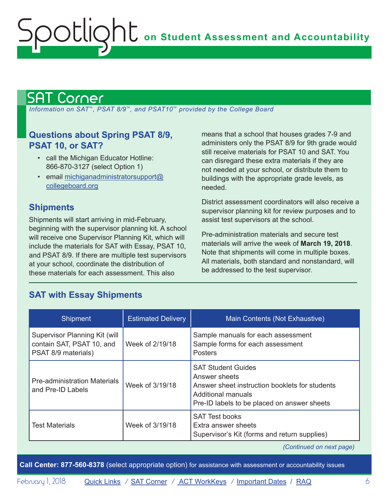# <span id="page-5-1"></span>SAT Corner

<span id="page-5-0"></span>Spotlight

 *Information on SAT*™*, PSAT 8/9*™*, and PSAT10*™ *provided by the College Board*

### **Questions about Spring PSAT 8/9, PSAT 10, or SAT?**

- call the Michigan Educator Hotline: 866-870-3127 (select Option 1)
- email [michiganadministratorsupport@](mailto:michiganadministratorsupport%40collegeboard.org?subject=) [collegeboard.org](mailto:michiganadministratorsupport%40collegeboard.org?subject=)

### **Shipments**

Shipments will start arriving in mid-February, beginning with the supervisor planning kit. A school will receive one Supervisor Planning Kit, which will include the materials for SAT with Essay, PSAT 10, and PSAT 8/9. If there are multiple test supervisors at your school, coordinate the distribution of these materials for each assessment. This also

**SAT with Essay Shipments**

means that a school that houses grades 7-9 and administers only the PSAT 8/9 for 9th grade would still receive materials for PSAT 10 and SAT. You can disregard these extra materials if they are not needed at your school, or distribute them to buildings with the appropriate grade levels, as needed.

District assessment coordinators will also receive a supervisor planning kit for review purposes and to assist test supervisors at the school.

Pre-administration materials and secure test materials will arrive the week of **March 19, 2018**. Note that shipments will come in multiple boxes. All materials, both standard and nonstandard, will be addressed to the test supervisor.

#### Shipment **Estimated Delivery | Main Contents (Not Exhaustive)** Supervisor Planning Kit (will contain SAT, PSAT 10, and PSAT 8/9 materials) Week of 2/19/18 Sample manuals for each assessment Sample forms for each assessment **Posters** Pre-administration Materials **and Pre-ID Labels** Week of 3/19/18 SAT Student Guides Answer sheets Answer sheet instruction booklets for students Additional manuals Pre-ID labels to be placed on answer sheets Test Materials **National Kids** Week of 3/19/18 SAT Test books Extra answer sheets Supervisor's Kit (forms and return supplies)

*(Continued on next page)*

**Call Center: 877-560-8378** (select appropriate option) for assistance with assessment or accountability issues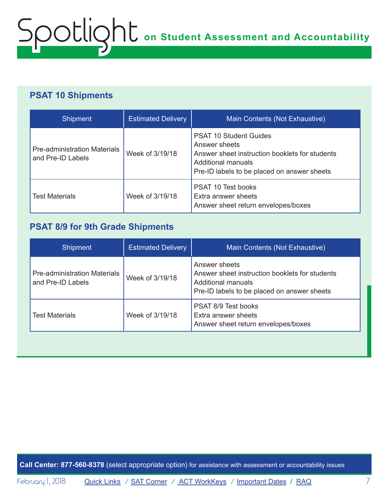# **PSAT 10 Shipments**

| <b>Shipment</b>                                          | <b>Estimated Delivery</b> | Main Contents (Not Exhaustive)                                                                                                                                               |
|----------------------------------------------------------|---------------------------|------------------------------------------------------------------------------------------------------------------------------------------------------------------------------|
| <b>Pre-administration Materials</b><br>and Pre-ID Labels | Week of 3/19/18           | <b>PSAT 10 Student Guides</b><br>Answer sheets<br>Answer sheet instruction booklets for students<br><b>Additional manuals</b><br>Pre-ID labels to be placed on answer sheets |
| <b>Test Materials</b>                                    | Week of 3/19/18           | <b>PSAT 10 Test books</b><br>Extra answer sheets<br>Answer sheet return envelopes/boxes                                                                                      |

### **PSAT 8/9 for 9th Grade Shipments**

| <b>Shipment</b>                                          | <b>Estimated Delivery</b> | Main Contents (Not Exhaustive)                                                                                                       |
|----------------------------------------------------------|---------------------------|--------------------------------------------------------------------------------------------------------------------------------------|
| <b>Pre-administration Materials</b><br>and Pre-ID Labels | Week of 3/19/18           | Answer sheets<br>Answer sheet instruction booklets for students<br>Additional manuals<br>Pre-ID labels to be placed on answer sheets |
| Test Materials                                           | Week of 3/19/18           | <b>PSAT 8/9 Test books</b><br>Extra answer sheets<br>Answer sheet return envelopes/boxes                                             |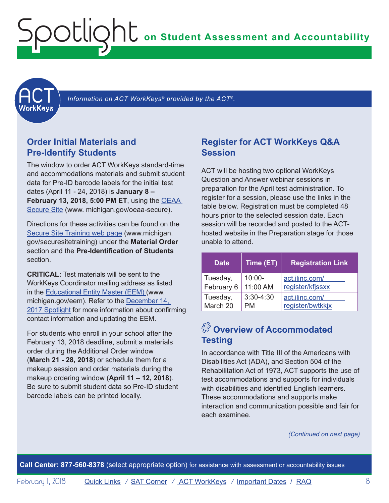<span id="page-7-1"></span><span id="page-7-0"></span>

 *Information on ACT WorkKeys® provided by the ACT*®*.*

### **Order Initial Materials and Pre-Identify Students**

The window to order ACT WorkKeys standard-time and accommodations materials and submit student data for Pre-ID barcode labels for the initial test dates (April 11 - 24, 2018) is **January 8 – February 13, 2018, 5:00 PM ET**, using the [OEAA](http://www.michigan.gov/oeaa-secure)  [Secure Site](http://www.michigan.gov/oeaa-secure) [\(www. michigan.gov/oeaa-secure](http://www.michigan.gov/oeaa-secure)).

Directions for these activities can be found on the [Secure Site Training web page](http://www.michigan.gov/securesitetraining) [\(www.michigan.](http://www.michigan.gov/securesitetraining) [gov/securesitetraining](http://www.michigan.gov/securesitetraining)) under the **Material Order** section and the **Pre-Identification of Students** section.

**CRITICAL:** Test materials will be sent to the WorkKeys Coordinator mailing address as listed in the [Educational Entity Master \(EEM\)](www.michigan.gov/EEM) ([www.](www.michigan.gov/EEM) [michigan.gov/eem](www.michigan.gov/EEM)). Refer to the [December 14,](http://www.michigan.gov/documents/mde/Spotlight_12-14-17_608699_7.pdf)  [2017 Spotlight](http://www.michigan.gov/documents/mde/Spotlight_12-14-17_608699_7.pdf) for more information about confirming contact information and updating the EEM.

For students who enroll in your school after the February 13, 2018 deadline, submit a materials order during the Additional Order window (**March 21 - 28, 2018**) or schedule them for a makeup session and order materials during the makeup ordering window (**April 11 – 12, 2018**). Be sure to submit student data so Pre-ID student barcode labels can be printed locally.

#### **Register for ACT WorkKeys Q&A Session**

ACT will be hosting two optional WorkKeys Question and Answer webinar sessions in preparation for the April test administration. To register for a session, please use the links in the table below. Registration must be completed 48 hours prior to the selected session date. Each session will be recorded and posted to the ACThosted website in the Preparation stage for those unable to attend.

| <b>Date</b> | Time (ET)   | <b>Registration Link</b> |
|-------------|-------------|--------------------------|
| Tuesday,    | $10:00 -$   | act.ilinc.com/           |
| February 6  | 11:00 AM    | register/kfjssxx         |
| Tuesday,    | $3:30-4:30$ | act.ilinc.com/           |
| March 20    | PM          | register/bwtkkjx         |

# $\sqrt[S]{3}$  Overview of Accommodated **Testing**

In accordance with Title III of the Americans with Disabilities Act (ADA), and Section 504 of the Rehabilitation Act of 1973, ACT supports the use of test accommodations and supports for individuals with disabilities and identified English learners. These accommodations and supports make interaction and communication possible and fair for each examinee.

*(Continued on next page)*

**Call Center: 877-560-8378** (select appropriate option) for assistance with assessment or accountability issues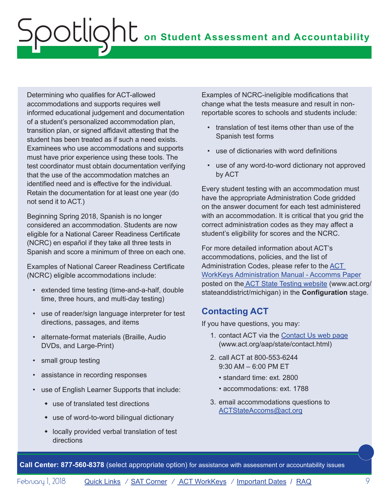Determining who qualifies for ACT-allowed accommodations and supports requires well informed educational judgement and documentation of a student's personalized accommodation plan, transition plan, or signed affidavit attesting that the student has been treated as if such a need exists. Examinees who use accommodations and supports must have prior experience using these tools. The test coordinator must obtain documentation verifying that the use of the accommodation matches an identified need and is effective for the individual. Retain the documentation for at least one year (do not send it to ACT.)

Beginning Spring 2018, Spanish is no longer considered an accommodation. Students are now eligible for a National Career Readiness Certificate (NCRC) en español if they take all three tests in Spanish and score a minimum of three on each one.

Examples of National Career Readiness Certificate (NCRC) eligible accommodations include:

- extended time testing (time-and-a-half, double time, three hours, and multi-day testing)
- use of reader/sign language interpreter for test directions, passages, and items
- alternate-format materials (Braille, Audio DVDs, and Large-Print)
- small group testing
- assistance in recording responses
- use of English Learner Supports that include:
	- $\bullet$  use of translated test directions
	- $\bullet$  use of word-to-word bilingual dictionary
	- $\bullet$  locally provided verbal translation of test directions

Examples of NCRC-ineligible modifications that change what the tests measure and result in nonreportable scores to schools and students include:

- translation of test items other than use of the Spanish test forms
- use of dictionaries with word definitions
- use of any word-to-word dictionary not approved by ACT

Every student testing with an accommodation must have the appropriate Administration Code gridded on the answer document for each test administered with an accommodation. It is critical that you grid the correct administration codes as they may affect a student's eligibility for scores and the NCRC.

For more detailed information about ACT's accommodations, policies, and the list of Administration Codes, please refer to the [ACT](http://www.act.org/content/dam/act/secured/documents/pdfs/WK-Admin-SD-Accoms-Secured.pdf#page=9)  [WorkKeys Administration Manual - Accomms Paper](http://www.act.org/content/dam/act/secured/documents/pdfs/WK-Admin-SD-Accoms-Secured.pdf#page=9) posted on th[e ACT State Testing website](http://www.act.org/stateanddistrict/michigan) ([www.act.org/](http://www.act.org/stateanddistrict/michigan) [stateanddistrict/michigan\)](http://www.act.org/stateanddistrict/michigan) in the **Configuration** stage.

# **Contacting ACT**

If you have questions, you may:

- 1. contact ACT via the [Contact Us web page](http://www.act.org/aap/state/contact.html) [\(www.act.org/aap/state/contact.html\)](www.act.org/aap/state/contact.html)
- 2. call ACT at 800-553-6244 9:30 AM – 6:00 PM ET
	- standard time: ext. 2800
	- accommodations: ext. 1788
- 3. email accommodations questions to [ACTStateAccoms@act.org](mailto:ACTStateAccoms%40act.org?subject=)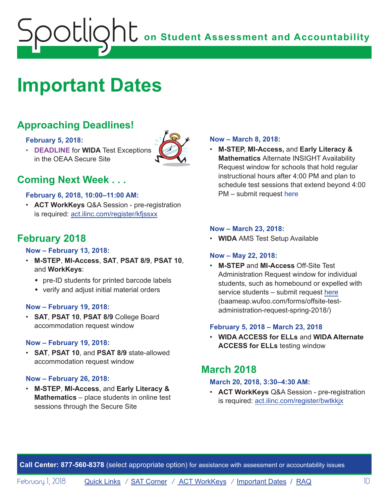# <span id="page-9-1"></span><span id="page-9-0"></span>**Important Dates**

# **Approaching Deadlines!**

#### **February 5, 2018:**

• **DEADLINE** for **WIDA** Test Exceptions in the OEAA Secure Site



# **Coming Next Week . . .**

#### **February 6, 2018, 10:00–11:00 AM:**

• **ACT WorkKeys** Q&A Session - pre-registration is required: act.ilinc.com/register/kfjssxx

# **February 2018**

#### **Now – February 13, 2018:**

- **M-STEP**, **MI-Access**, **SAT**, **PSAT 8/9**, **PSAT 10**, and **WorkKeys**:
	- $\bullet$  pre-ID students for printed barcode labels
	- $\bullet$  verify and adjust initial material orders

#### **Now – February 19, 2018:**

• **SAT**, **PSAT 10**, **PSAT 8/9** College Board accommodation request window

#### **Now – February 19, 2018:**

• **SAT**, **PSAT 10**, and **PSAT 8/9** state-allowed accommodation request window

#### **Now – February 26, 2018:**

• **M-STEP**, **MI-Access**, and **Early Literacy & Mathematics** – place students in online test sessions through the Secure Site

#### **Now – March 8, 2018:**

• **M-STEP, MI-Access,** and **Early Literacy & Mathematics** Alternate INSIGHT Availability Request window for schools that hold regular instructional hours after 4:00 PM and plan to schedule test sessions that extend beyond 4:00 PM – submit request here

#### **Now – March 23, 2018:**

• **WIDA** AMS Test Setup Available

#### **Now – May 22, 2018:**

• **M-STEP** and **MI-Access** Off-Site Test Administration Request window for individual students, such as homebound or expelled with service students – submit request here (baameap.wufoo.com/forms/offsite-testadministration-request-spring-2018/)

#### **February 5, 2018 – March 23, 2018**

• **WIDA ACCESS for ELLs** and **WIDA Alternate ACCESS for ELLs** testing window

# **March 2018**

#### **March 20, 2018, 3:30–4:30 AM:**

• **ACT WorkKeys** Q&A Session - pre-registration is required: act.ilinc.com/register/bwtkkjx

**Call Center: 877-560-8378** (select appropriate option) for assistance with assessment or accountability issues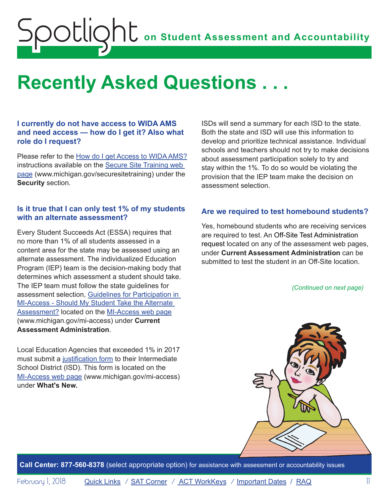# <span id="page-10-1"></span><span id="page-10-0"></span>**Recently Asked Questions . . .**

#### **I currently do not have access to WIDA AMS and need access — how do I get it? Also what role do I request?**

Please refer to the [How do I get Access to WIDA AMS?](http://www.michigan.gov/documents/mde/How_do_I_get_access_to_WIDA_AMS_601677_7.pdf) instructions available on the [Secure Site Training web](http://www.michigan.gov/securesitetraining)  [page](http://www.michigan.gov/securesitetraining) [\(www.michigan.gov/securesitetraining\)](http://www.michigan.gov/securesitetraining) under the **Security** section.

#### **Is it true that I can only test 1% of my students with an alternate assessment?**

Every Student Succeeds Act (ESSA) requires that no more than 1% of all students assessed in a content area for the state may be assessed using an alternate assessment. The individualized Education Program (IEP) team is the decision-making body that determines which assessment a student should take. The IEP team must follow the state guidelines for assessment selection, [Guidelines for Participation in](http://www.michigan.gov/documents/mde/Should_My_Student_Take_the_Alternate_Assessment_556705_7.pdf)  [MI-Access - Should My Student Take the Alternate](http://www.michigan.gov/documents/mde/Should_My_Student_Take_the_Alternate_Assessment_556705_7.pdf) [Assessment?](http://www.michigan.gov/documents/mde/Should_My_Student_Take_the_Alternate_Assessment_556705_7.pdf) located on the [MI-Access web page](http://www.michigan.gov/mi-access) ([www.michigan.gov/mi-access](http://www.michigan.gov/mi-access)) under **Current Assessment Administration**.

Local Education Agencies that exceeded 1% in 2017 must submit a [justification form](http://www.michigan.gov/documents/mde/1PctCap_Justification_Form_Final_609993_7.pdf) to their Intermediate School District (ISD). This form is located on the [MI-Access web page](http://www.michigan.gov/mi-access) ([www.michigan.gov/mi-access](http://www.michigan.gov/mi-access)) under **What's New.**

ISDs will send a summary for each ISD to the state. Both the state and ISD will use this information to develop and prioritize technical assistance. Individual schools and teachers should not try to make decisions about assessment participation solely to try and stay within the 1%. To do so would be violating the provision that the IEP team make the decision on assessment selection.

#### **Are we required to test homebound students?**

Yes, homebound students who are receiving services are required to test. An [Off-Site Test Administration](https://baameap.wufoo.com/forms/offsite-test-administration-request-spring-2018/)  request located on any of the assessment web pages, under **Current Assessment Administration** can be submitted to test the student in an Off-Site location.

*(Continued on next page)*



**Call Center: 877-560-8378** (select appropriate option) for assistance with assessment or accountability issues